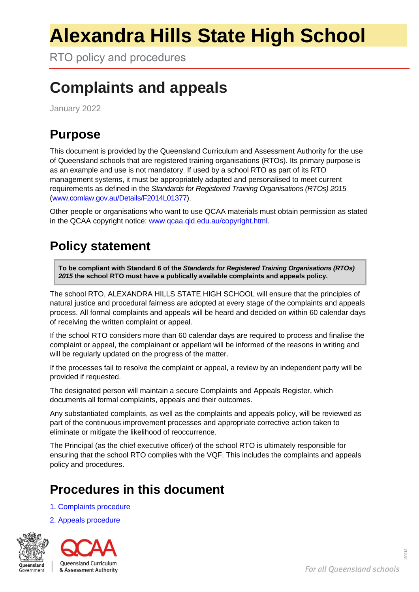# **Alexandra Hills State High School**

RTO policy and procedures

# **Complaints and appeals**

January 2022

### **Purpose**

This document is provided by the Queensland Curriculum and Assessment Authority for the use of Queensland schools that are registered training organisations (RTOs). Its primary purpose is as an example and use is not mandatory. If used by a school RTO as part of its RTO management systems, it must be appropriately adapted and personalised to meet current requirements as defined in the *Standards for Registered Training Organisations (RTOs) 2015*  [\(www.comlaw.gov.au/Details/F2014L01377\)](http://www.comlaw.gov.au/Details/F2014L01377).

Other people or organisations who want to use QCAA materials must obtain permission as stated in the QCAA copyright notice: [www.qcaa.qld.edu.au/copyright.html.](http://www.qcaa.qld.edu.au/copyright.html)

## **Policy statement**

**To be compliant with Standard 6 of the** *Standards for Registered Training Organisations (RTOs) 2015* **the school RTO must have a publically available complaints and appeals policy.**

The school RTO, ALEXANDRA HILLS STATE HIGH SCHOOL will ensure that the principles of natural justice and procedural fairness are adopted at every stage of the complaints and appeals process. All formal complaints and appeals will be heard and decided on within 60 calendar days of receiving the written complaint or appeal.

If the school RTO considers more than 60 calendar days are required to process and finalise the complaint or appeal, the complainant or appellant will be informed of the reasons in writing and will be regularly updated on the progress of the matter.

If the processes fail to resolve the complaint or appeal, a review by an independent party will be provided if requested.

The designated person will maintain a secure Complaints and Appeals Register, which documents all formal complaints, appeals and their outcomes.

Any substantiated complaints, as well as the complaints and appeals policy, will be reviewed as part of the continuous improvement processes and appropriate corrective action taken to eliminate or mitigate the likelihood of reoccurrence.

The Principal (as the chief executive officer) of the school RTO is ultimately responsible for ensuring that the school RTO complies with the VQF. This includes the complaints and appeals policy and procedures.

#### **Procedures in this document**

- 1. [Complaints procedure](#page-1-0)
- [2. Appeals procedure](#page-1-1)



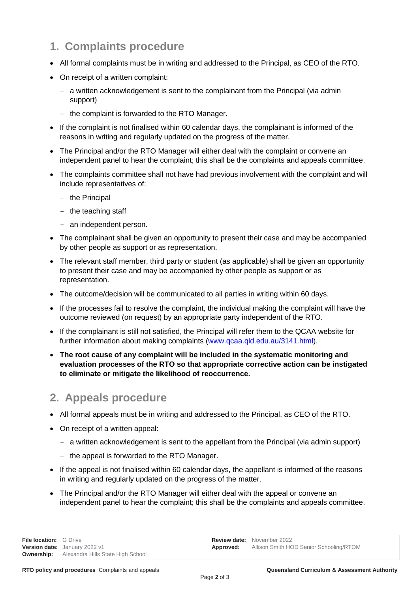#### <span id="page-1-0"></span>**1. Complaints procedure**

- All formal complaints must be in writing and addressed to the Principal, as CEO of the RTO.
- On receipt of a written complaint:
	- a written acknowledgement is sent to the complainant from the Principal (via admin support)
	- the complaint is forwarded to the RTO Manager.
- If the complaint is not finalised within 60 calendar days, the complainant is informed of the reasons in writing and regularly updated on the progress of the matter.
- The Principal and/or the RTO Manager will either deal with the complaint or convene an independent panel to hear the complaint; this shall be the complaints and appeals committee.
- The complaints committee shall not have had previous involvement with the complaint and will include representatives of:
	- the Principal
	- the teaching staff
	- an independent person.
- The complainant shall be given an opportunity to present their case and may be accompanied by other people as support or as representation.
- The relevant staff member, third party or student (as applicable) shall be given an opportunity to present their case and may be accompanied by other people as support or as representation.
- The outcome/decision will be communicated to all parties in writing within 60 days.
- If the processes fail to resolve the complaint, the individual making the complaint will have the outcome reviewed (on request) by an appropriate party independent of the RTO.
- If the complainant is still not satisfied, the Principal will refer them to the QCAA website for further information about making complaints [\(www.qcaa.qld.edu.au/3141.html\)](http://www.qcaa.qld.edu.au/3141.html).
- **The root cause of any complaint will be included in the systematic monitoring and evaluation processes of the RTO so that appropriate corrective action can be instigated to eliminate or mitigate the likelihood of reoccurrence.**

#### <span id="page-1-1"></span>**2. Appeals procedure**

- All formal appeals must be in writing and addressed to the Principal, as CEO of the RTO.
- On receipt of a written appeal:
	- a written acknowledgement is sent to the appellant from the Principal (via admin support)
	- the appeal is forwarded to the RTO Manager.
- If the appeal is not finalised within 60 calendar days, the appellant is informed of the reasons in writing and regularly updated on the progress of the matter.
- The Principal and/or the RTO Manager will either deal with the appeal or convene an independent panel to hear the complaint; this shall be the complaints and appeals committee.